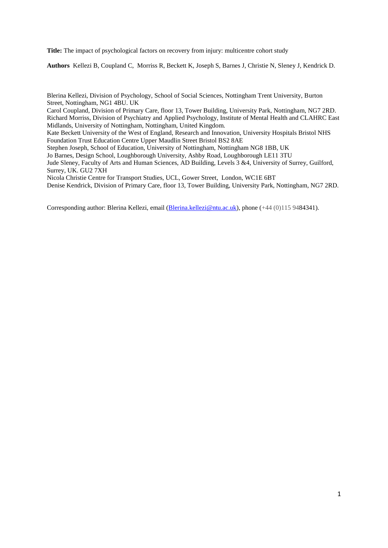**Title:** The impact of psychological factors on recovery from injury: multicentre cohort study

**Authors** Kellezi B, Coupland C, Morriss R, Beckett K, Joseph S, Barnes J, Christie N, Sleney J, Kendrick D.

Blerina Kellezi, Division of Psychology, School of Social Sciences, Nottingham Trent University, Burton Street, Nottingham, NG1 4BU. UK

Carol Coupland, Division of Primary Care, floor 13, Tower Building, University Park, Nottingham, NG7 2RD. Richard Morriss, Division of Psychiatry and Applied Psychology, Institute of Mental Health and CLAHRC East Midlands, University of Nottingham, Nottingham, United Kingdom.

Kate Beckett University of the West of England, Research and Innovation, University Hospitals Bristol NHS Foundation Trust Education Centre Upper Maudlin Street Bristol BS2 8AE

Stephen Joseph, School of Education, University of Nottingham, Nottingham NG8 1BB, UK Jo Barnes, Design School, Loughborough University, Ashby Road, Loughborough LE11 3TU

Jude Sleney, Faculty of Arts and Human Sciences, AD Building, Levels 3 &4, University of Surrey, Guilford, Surrey, UK. GU2 7XH

Nicola Christie Centre for Transport Studies, UCL, Gower Street, London, WC1E 6BT Denise Kendrick, Division of Primary Care, floor 13, Tower Building, University Park, Nottingham, NG7 2RD.

Corresponding author: Blerina Kellezi, email [\(Blerina.kellezi@ntu.ac.uk\)](mailto:Blerina.kellezi@ntu.ac.uk), phone (+44 (0)115 9484341).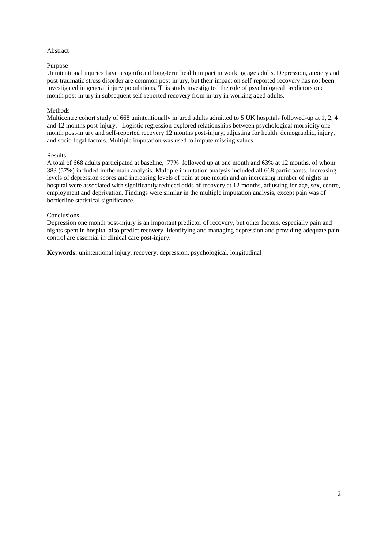## Abstract

## Purpose

Unintentional injuries have a significant long-term health impact in working age adults. Depression, anxiety and post-traumatic stress disorder are common post-injury, but their impact on self-reported recovery has not been investigated in general injury populations. This study investigated the role of psychological predictors one month post-injury in subsequent self-reported recovery from injury in working aged adults.

# Methods

Multicentre cohort study of 668 unintentionally injured adults admitted to 5 UK hospitals followed-up at 1, 2, 4 and 12 months post-injury. Logistic regression explored relationships between psychological morbidity one month post-injury and self-reported recovery 12 months post-injury, adjusting for health, demographic, injury, and socio-legal factors. Multiple imputation was used to impute missing values.

### Results

A total of 668 adults participated at baseline, 77% followed up at one month and 63% at 12 months, of whom 383 (57%) included in the main analysis. Multiple imputation analysis included all 668 participants. Increasing levels of depression scores and increasing levels of pain at one month and an increasing number of nights in hospital were associated with significantly reduced odds of recovery at 12 months, adjusting for age, sex, centre, employment and deprivation. Findings were similar in the multiple imputation analysis, except pain was of borderline statistical significance.

## Conclusions

Depression one month post-injury is an important predictor of recovery, but other factors, especially pain and nights spent in hospital also predict recovery. Identifying and managing depression and providing adequate pain control are essential in clinical care post-injury.

**Keywords:** unintentional injury, recovery, depression, psychological, longitudinal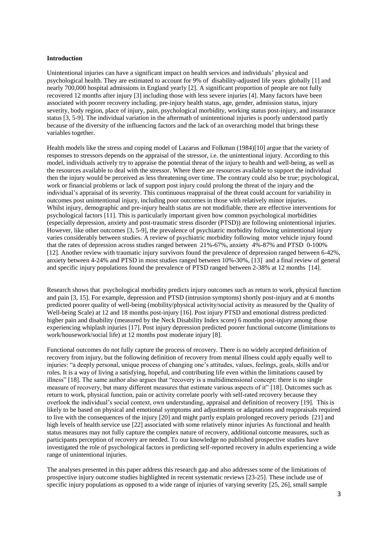### **Introduction**

Unintentional injuries can have a significant impact on health services and individuals' physical and psychological health. They are estimated to account for 9% of disability-adjusted life years globally [1] and nearly 700,000 hospital admissions in England yearly [2]. A significant proportion of people are not fully recovered 12 months after injury [3] including those with less severe injuries [4]. Many factors have been associated with poorer recovery including, pre-injury health status, age, gender, admission status, injury severity, body region, place of injury, pain, psychological morbidity, working status post-injury, and insurance status [3, 5-9]. The individual variation in the aftermath of unintentional injuries is poorly understood partly because of the diversity of the influencing factors and the lack of an overarching model that brings these variables together.

Health models like the stress and coping model of Lazarus and Folkman (1984)[10] argue that the variety of responses to stressors depends on the appraisal of the stressor, i.e. the unintentional injury. According to this model, individuals actively try to appraise the potential threat of the injury to health and well-being, as well as the resources available to deal with the stressor. Where there are resources available to support the individual then the injury would be perceived as less threatening over time. The contrary could also be true; psychological, work or financial problems or lack of support post injury could prolong the threat of the injury and the individual's appraisal of its severity. This continuous reappraisal of the threat could account for variability in outcomes post unintentional injury, including poor outcomes in those with relatively minor injuries. Whilst injury, demographic and pre-injury health status are not modifiable, there are effective interventions for psychological factors [11]. This is particularly important given how common psychological morbidities (especially depression, anxiety and post-traumatic stress disorder (PTSD)) are following unintentional injuries. However, like other outcomes [3, 5-9], the prevalence of psychiatric morbidity following unintentional injury varies considerably between studies. A review of psychiatric morbidity following motor vehicle injury found that the rates of depression across studies ranged between 21%-67%, anxiety 4%-87% and PTSD 0-100% [12]. Another review with traumatic injury survivors found the prevalence of depression ranged between 6-42%, anxiety between 4-24% and PTSD in most studies ranged between 10%-30%, [13] and a final review of general and specific injury populations found the prevalence of PTSD ranged between 2-38% at 12 months [14].

Research shows that psychological morbidity predicts injury outcomes such as return to work, physical function and pain [3, 15]. For example, depression and PTSD (intrusion symptoms) shortly post-injury and at 6 months predicted poorer quality of well-being (mobility/physical activity/social activity as measured by the Quality of Well-being Scale) at 12 and 18 months post-injury [16]. Post injury PTSD and emotional distress predicted higher pain and disability (measured by the Neck Disability Index score) 6 months post-injury among those experiencing whiplash injuries [17]. Post injury depression predicted poorer functional outcome (limitations to work/housework/social life) at 12 months post moderate injury [8].

Functional outcomes do not fully capture the process of recovery. There is no widely accepted definition of recovery from injury, but the following definition of recovery from mental illness could apply equally well to injuries: "a deeply personal, unique process of changing one's attitudes, values, feelings, goals, skills and/or roles. It is a way of living a satisfying, hopeful, and contributing life even within the limitations caused by illness" [18]. The same author also argues that "recovery is a multidimensional concept: there is no single measure of recovery, but many different measures that estimate various aspects of it" [18]. Outcomes such as return to work, physical function, pain or activity correlate poorly with self-rated recovery because they overlook the individual's social context, own understanding, appraisal and definition of recovery [19]. This is likely to be based on physical and emotional symptoms and adjustments or adaptations and reappraisals required to live with the consequences of the injury [20] and might partly explain prolonged recovery periods [21] and high levels of health service use [22] associated with some relatively minor injuries As functional and health status measures may not fully capture the complex nature of recovery, additional outcome measures, such as participants perception of recovery are needed. To our knowledge no published prospective studies have investigated the role of psychological factors in predicting self-reported recovery in adults experiencing a wide range of unintentional injuries.

The analyses presented in this paper address this research gap and also addresses some of the limitations of prospective injury outcome studies highlighted in recent systematic reviews [23-25]. These include use of specific injury populations as opposed to a wide range of injuries of varying severity [25, 26], small sample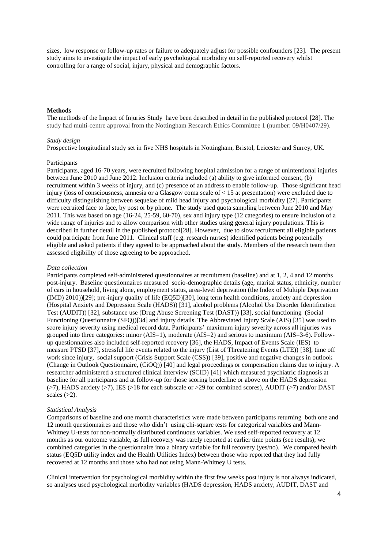sizes, low response or follow-up rates or failure to adequately adjust for possible confounders [23]. The present study aims to investigate the impact of early psychological morbidity on self-reported recovery whilst controlling for a range of social, injury, physical and demographic factors.

## **Methods**

The methods of the Impact of Injuries Study have been described in detail in the published protocol [28]. The study had multi-centre approval from the Nottingham Research Ethics Committee 1 (number: 09/H0407/29).

### *Study design*

Prospective longitudinal study set in five NHS hospitals in Nottingham, Bristol, Leicester and Surrey, UK.

#### **Participants**

Participants, aged 16-70 years, were recruited following hospital admission for a range of unintentional injuries between June 2010 and June 2012. Inclusion criteria included (a) ability to give informed consent, (b) recruitment within 3 weeks of injury, and (c) presence of an address to enable follow-up. Those significant head injury (loss of consciousness, amnesia or a Glasgow coma scale of < 15 at presentation) were excluded due to difficulty distinguishing between sequelae of mild head injury and psychological morbidity [27]. Participants were recruited face to face, by post or by phone. The study used quota sampling between June 2010 and May 2011. This was based on age (16-24, 25-59, 60-70), sex and injury type (12 categories) to ensure inclusion of a wide range of injuries and to allow comparison with other studies using general injury populations. This is described in further detail in the published protocol[28]. However, due to slow recruitment all eligible patients could participate from June 2011. Clinical staff (e.g. research nurses) identified patients being potentially eligible and asked patients if they agreed to be approached about the study. Members of the research team then assessed eligibility of those agreeing to be approached.

#### *Data collection*

Participants completed self-administered questionnaires at recruitment (baseline) and at 1, 2, 4 and 12 months post-injury. Baseline questionnaires measured socio-demographic details (age, marital status, ethnicity, number of cars in household, living alone, employment status, area-level deprivation (the Index of Multiple Deprivation (IMD) 2010))[29]; pre-injury quality of life (EQ5D)[30], long term health conditions, anxiety and depression (Hospital Anxiety and Depression Scale (HADS)) [31], alcohol problems (Alcohol Use Disorder Identification Test (AUDIT)) [32], substance use (Drug Abuse Screening Test (DAST)) [33], social functioning (Social Functioning Questionnaire (SFQ))[34] and injury details. The Abbreviated Injury Scale (AIS) [35] was used to score injury severity using medical record data. Participants' maximum injury severity across all injuries was grouped into three categories: minor (AIS=1), moderate (AIS=2) and serious to maximum (AIS=3-6). Followup questionnaires also included self-reported recovery [36], the HADS, Impact of Events Scale (IES) to measure PTSD [37], stressful life events related to the injury (List of Threatening Events (LTE)) [38], time off work since injury, social support (Crisis Support Scale (CSS)) [39], positive and negative changes in outlook (Change in Outlook Questionnaire, (CiOQ)) [40] and legal proceedings or compensation claims due to injury. A researcher administered a structured clinical interview (SCID) [41] which measured psychiatric diagnosis at baseline for all participants and at follow-up for those scoring borderline or above on the HADS depression (>7), HADS anxiety (>7), IES (>18 for each subscale or >29 for combined scores), AUDIT (>7) and/or DAST scales  $(>2)$ .

## *Statistical Analysis*

Comparisons of baseline and one month characteristics were made between participants returning both one and 12 month questionnaires and those who didn't using chi-square tests for categorical variables and Mann-Whitney U-tests for non-normally distributed continuous variables. We used self-reported recovery at 12 months as our outcome variable, as full recovery was rarely reported at earlier time points (see results); we combined categories in the questionnaire into a binary variable for full recovery (yes/no). We compared health status (EQ5D utility index and the Health Utilities Index) between those who reported that they had fully recovered at 12 months and those who had not using Mann-Whitney U tests.

Clinical intervention for psychological morbidity within the first few weeks post injury is not always indicated, so analyses used psychological morbidity variables (HADS depression, HADS anxiety, AUDIT, DAST and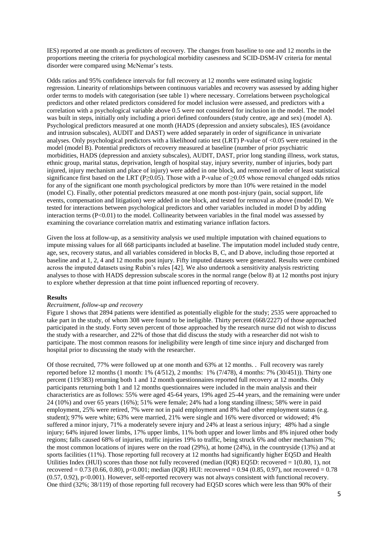IES) reported at one month as predictors of recovery. The changes from baseline to one and 12 months in the proportions meeting the criteria for psychological morbidity casesness and SCID-DSM-IV criteria for mental disorder were compared using McNemar's tests.

Odds ratios and 95% confidence intervals for full recovery at 12 months were estimated using logistic regression. Linearity of relationships between continuous variables and recovery was assessed by adding higher order terms to models with categorisation (see table 1) where necessary. Correlations between psychological predictors and other related predictors considered for model inclusion were assessed, and predictors with a correlation with a psychological variable above 0.5 were not considered for inclusion in the model. The model was built in steps, initially only including a priori defined confounders (study centre, age and sex) (model A). Psychological predictors measured at one month (HADS (depression and anxiety subscales), IES (avoidance and intrusion subscales), AUDIT and DAST) were added separately in order of significance in univariate analyses. Only psychological predictors with a likelihood ratio test (LRT) P-value of <0.05 were retained in the model (model B). Potential predictors of recovery measured at baseline (number of prior psychiatric morbidities, HADS (depression and anxiety subscales), AUDIT, DAST, prior long standing illness, work status, ethnic group, marital status, deprivation, length of hospital stay, injury severity, number of injuries, body part injured, injury mechanism and place of injury) were added in one block, and removed in order of least statistical significance first based on the LRT (P≥0.05). Those with a P-value of ≥0.05 whose removal changed odds ratios for any of the significant one month psychological predictors by more than 10% were retained in the model (model C). Finally, other potential predictors measured at one month post-injury (pain, social support, life events, compensation and litigation) were added in one block, and tested for removal as above (model D). We tested for interactions between psychological predictors and other variables included in model D by adding interaction terms  $(P<0.01)$  to the model. Collinearity between variables in the final model was assessed by examining the covariance correlation matrix and estimating variance inflation factors.

Given the loss at follow-up, as a sensitivity analysis we used multiple imputation with chained equations to impute missing values for all 668 participants included at baseline. The imputation model included study centre, age, sex, recovery status, and all variables considered in blocks B, C, and D above, including those reported at baseline and at 1, 2, 4 and 12 months post injury. Fifty imputed datasets were generated. Results were combined across the imputed datasets using Rubin's rules [42]. We also undertook a sensitivity analysis restricting analyses to those with HADS depression subscale scores in the normal range (below 8) at 12 months post injury to explore whether depression at that time point influenced reporting of recovery.

## **Results**

## *Recruitment, follow-up and recovery*

Figure 1 shows that 2894 patients were identified as potentially eligible for the study; 2535 were approached to take part in the study, of whom 308 were found to be ineligible. Thirty percent (668/2227) of those approached participated in the study. Forty seven percent of those approached by the research nurse did not wish to discuss the study with a researcher, and 22% of those that did discuss the study with a researcher did not wish to participate. The most common reasons for ineligibility were length of time since injury and discharged from hospital prior to discussing the study with the researcher.

Of those recruited, 77% were followed up at one month and 63% at 12 months. . Full recovery was rarely reported before 12 months (1 month: 1% (4/512), 2 months: 1% (7/478), 4 months: 7% (30/451)). Thirty one percent (119/383) returning both 1 and 12 month questionnaires reported full recovery at 12 months. Only participants returning both 1 and 12 months questionnaires were included in the main analysis and their characteristics are as follows: 55% were aged 45-64 years, 19% aged 25-44 years, and the remaining were under 24 (10%) and over 65 years (16%); 51% were female; 24% had a long standing illness; 58% were in paid employment, 25% were retired, 7% were not in paid employment and 8% had other employment status (e.g. student); 97% were white; 63% were married, 21% were single and 16% were divorced or widowed; 4% suffered a minor injury, 71% a moderately severe injury and 24% at least a serious injury; 48% had a single injury; 64% injured lower limbs, 17% upper limbs, 11% both upper and lower limbs and 8% injured other body regions; falls caused 68% of injuries, traffic injuries 19% to traffic, being struck 6% and other mechanism 7%; the most common locations of injures were on the road  $(29%)$ , at home  $(24%)$ , in the countryside  $(13%)$  and at sports facilities (11%). Those reporting full recovery at 12 months had significantly higher EQ5D and Health Utilities Index (HUI) scores than those not fully recovered (median (IQR) EQ5D: recovered = 1(0.80, 1), not recovered = 0.73 (0.66, 0.80), p<0.001; median (IOR) HUI: recovered = 0.94 (0.85, 0.97), not recovered = 0.78  $(0.57, 0.92)$ , p<0.001). However, self-reported recovery was not always consistent with functional recovery. One third (32%; 38/119) of those reporting full recovery had EQ5D scores which were less than 90% of their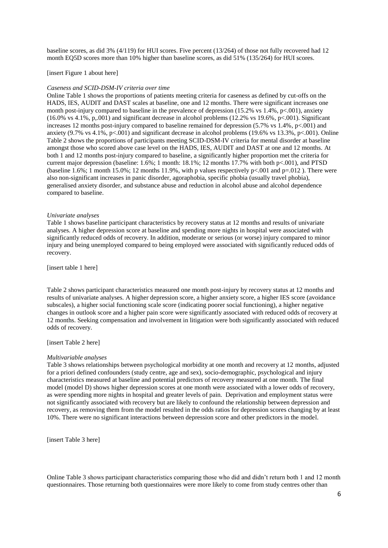baseline scores, as did 3% (4/119) for HUI scores. Five percent (13/264) of those not fully recovered had 12 month EQ5D scores more than 10% higher than baseline scores, as did 51% (135/264) for HUI scores.

[insert Figure 1 about here]

#### *Caseness and SCID-DSM-IV criteria over time*

Online Table 1 shows the proportions of patients meeting criteria for caseness as defined by cut-offs on the HADS, IES, AUDIT and DAST scales at baseline, one and 12 months. There were significant increases one month post-injury compared to baseline in the prevalence of depression (15.2% vs 1.4%, p<.001), anxiety  $(16.0\% \text{ vs } 4.1\%, \text{ p.001})$  and significant decrease in alcohol problems (12.2% vs 19.6%, p<.001). Significant increases 12 months post-injury compared to baseline remained for depression (5.7% vs  $1.4\%$ , p<.001) and anxiety (9.7% vs 4.1%, p<.001) and significant decrease in alcohol problems (19.6% vs 13.3%, p<.001). Online Table 2 shows the proportions of participants meeting SCID-DSM-IV criteria for mental disorder at baseline amongst those who scored above case level on the HADS, IES, AUDIT and DAST at one and 12 months. At both 1 and 12 months post-injury compared to baseline, a significantly higher proportion met the criteria for current major depression (baseline:  $1.6\%$ ; 1 month:  $18.1\%$ ; 12 months 17.7% with both p<.001), and PTSD (baseline 1.6%; 1 month 15.0%; 12 months 11.9%, with p values respectively  $p\lt 0.001$  and  $p=0.012$ ). There were also non-significant increases in panic disorder, agoraphobia, specific phobia (usually travel phobia), generalised anxiety disorder, and substance abuse and reduction in alcohol abuse and alcohol dependence compared to baseline.

#### *Univariate analyses*

Table 1 shows baseline participant characteristics by recovery status at 12 months and results of univariate analyses. A higher depression score at baseline and spending more nights in hospital were associated with significantly reduced odds of recovery. In addition, moderate or serious (or worse) injury compared to minor injury and being unemployed compared to being employed were associated with significantly reduced odds of recovery.

[insert table 1 here]

Table 2 shows participant characteristics measured one month post-injury by recovery status at 12 months and results of univariate analyses. A higher depression score, a higher anxiety score, a higher IES score (avoidance subscales), a higher social functioning scale score (indicating poorer social functioning), a higher negative changes in outlook score and a higher pain score were significantly associated with reduced odds of recovery at 12 months. Seeking compensation and involvement in litigation were both significantly associated with reduced odds of recovery.

[insert Table 2 here]

#### *Multivariable analyses*

Table 3 shows relationships between psychological morbidity at one month and recovery at 12 months, adjusted for a priori defined confounders (study centre, age and sex), socio-demographic, psychological and injury characteristics measured at baseline and potential predictors of recovery measured at one month. The final model (model D) shows higher depression scores at one month were associated with a lower odds of recovery, as were spending more nights in hospital and greater levels of pain. Deprivation and employment status were not significantly associated with recovery but are likely to confound the relationship between depression and recovery, as removing them from the model resulted in the odds ratios for depression scores changing by at least 10%. There were no significant interactions between depression score and other predictors in the model.

[insert Table 3 here]

Online Table 3 shows participant characteristics comparing those who did and didn't return both 1 and 12 month questionnaires. Those returning both questionnaires were more likely to come from study centres other than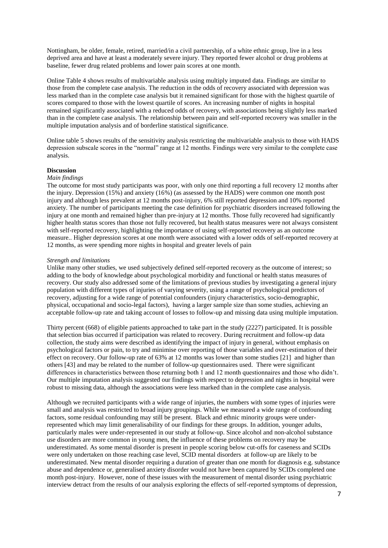Nottingham, be older, female, retired, married/in a civil partnership, of a white ethnic group, live in a less deprived area and have at least a moderately severe injury. They reported fewer alcohol or drug problems at baseline, fewer drug related problems and lower pain scores at one month.

Online Table 4 shows results of multivariable analysis using multiply imputed data. Findings are similar to those from the complete case analysis. The reduction in the odds of recovery associated with depression was less marked than in the complete case analysis but it remained significant for those with the highest quartile of scores compared to those with the lowest quartile of scores. An increasing number of nights in hospital remained significantly associated with a reduced odds of recovery, with associations being slightly less marked than in the complete case analysis. The relationship between pain and self-reported recovery was smaller in the multiple imputation analysis and of borderline statistical significance.

Online table 5 shows results of the sensitivity analysis restricting the multivariable analysis to those with HADS depression subscale scores in the "normal" range at 12 months. Findings were very similar to the complete case analysis.

# **Discussion**

#### *Main findings*

The outcome for most study participants was poor, with only one third reporting a full recovery 12 months after the injury. Depression (15%) and anxiety (16%) (as assessed by the HADS) were common one month post injury and although less prevalent at 12 months post-injury, 6% still reported depression and 10% reported anxiety. The number of participants meeting the case definition for psychiatric disorders increased following the injury at one month and remained higher than pre-injury at 12 months. Those fully recovered had significantly higher health status scores than those not fully recovered, but health status measures were not always consistent with self-reported recovery, highlighting the importance of using self-reported recovery as an outcome measure.. Higher depression scores at one month were associated with a lower odds of self-reported recovery at 12 months, as were spending more nights in hospital and greater levels of pain

## *Strength and limitations*

Unlike many other studies, we used subjectively defined self-reported recovery as the outcome of interest; so adding to the body of knowledge about psychological morbidity and functional or health status measures of recovery. Our study also addressed some of the limitations of previous studies by investigating a general injury population with different types of injuries of varying severity, using a range of psychological predictors of recovery, adjusting for a wide range of potential confounders (injury characteristics, socio-demographic, physical, occupational and socio-legal factors), having a larger sample size than some studies, achieving an acceptable follow-up rate and taking account of losses to follow-up and missing data using multiple imputation.

Thirty percent (668) of eligible patients approached to take part in the study (2227) participated. It is possible that selection bias occurred if participation was related to recovery. During recruitment and follow-up data collection, the study aims were described as identifying the impact of injury in general, without emphasis on psychological factors or pain, to try and minimise over reporting of those variables and over-estimation of their effect on recovery. Our follow-up rate of 63% at 12 months was lower than some studies [21] and higher than others [43] and may be related to the number of follow-up questionnaires used. There were significant differences in characteristics between those returning both 1 and 12 month questionnaires and those who didn't. Our multiple imputation analysis suggested our findings with respect to depression and nights in hospital were robust to missing data, although the associations were less marked than in the complete case analysis.

Although we recruited participants with a wide range of injuries, the numbers with some types of injuries were small and analysis was restricted to broad injury groupings. While we measured a wide range of confounding factors, some residual confounding may still be present. Black and ethnic minority groups were underrepresented which may limit generalisability of our findings for these groups. In addition, younger adults, particularly males were under-represented in our study at follow-up. Since alcohol and non-alcohol substance use disorders are more common in young men, the influence of these problems on recovery may be underestimated. As some mental disorder is present in people scoring below cut-offs for caseness and SCIDs were only undertaken on those reaching case level, SCID mental disorders at follow-up are likely to be underestimated. New mental disorder requiring a duration of greater than one month for diagnosis e.g. substance abuse and dependence or, generalised anxiety disorder would not have been captured by SCIDs completed one month post-injury. However, none of these issues with the measurement of mental disorder using psychiatric interview detract from the results of our analysis exploring the effects of self-reported symptoms of depression,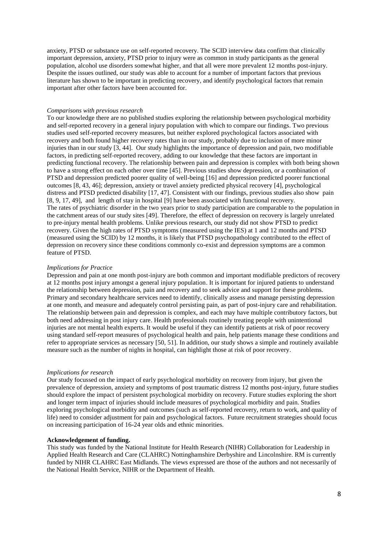anxiety, PTSD or substance use on self-reported recovery. The SCID interview data confirm that clinically important depression, anxiety, PTSD prior to injury were as common in study participants as the general population, alcohol use disorders somewhat higher, and that all were more prevalent 12 months post-injury. Despite the issues outlined, our study was able to account for a number of important factors that previous literature has shown to be important in predicting recovery, and identify psychological factors that remain important after other factors have been accounted for.

#### *Comparisons with previous research*

To our knowledge there are no published studies exploring the relationship between psychological morbidity and self-reported recovery in a general injury population with which to compare our findings. Two previous studies used self-reported recovery measures, but neither explored psychological factors associated with recovery and both found higher recovery rates than in our study, probably due to inclusion of more minor injuries than in our study [3, 44]. Our study highlights the importance of depression and pain, two modifiable factors, in predicting self-reported recovery, adding to our knowledge that these factors are important in predicting functional recovery. The relationship between pain and depression is complex with both being shown to have a strong effect on each other over time [45]. Previous studies show depression, or a combination of PTSD and depression predicted poorer quality of well-being [16] and depression predicted poorer functional outcomes [8, 43, 46]; depression, anxiety or travel anxiety predicted physical recovery [4], psychological distress and PTSD predicted disability [17, 47]. Consistent with our findings, previous studies also show pain [8, 9, 17, 49], and length of stay in hospital [9] have been associated with functional recovery. The rates of psychiatric disorder in the two years prior to study participation are comparable to the population in the catchment areas of our study sites [49]. Therefore, the effect of depression on recovery is largely unrelated to pre-injury mental health problems. Unlike previous research, our study did not show PTSD to predict recovery. Given the high rates of PTSD symptoms (measured using the IES) at 1 and 12 months and PTSD (measured using the SCID) by 12 months, it is likely that PTSD psychopathology contributed to the effect of depression on recovery since these conditions commonly co-exist and depression symptoms are a common feature of PTSD.

#### *Implications for Practice*

Depression and pain at one month post-injury are both common and important modifiable predictors of recovery at 12 months post injury amongst a general injury population. It is important for injured patients to understand the relationship between depression, pain and recovery and to seek advice and support for these problems. Primary and secondary healthcare services need to identify, clinically assess and manage persisting depression at one month, and measure and adequately control persisting pain, as part of post-injury care and rehabilitation. The relationship between pain and depression is complex, and each may have multiple contributory factors, but both need addressing in post injury care. Health professionals routinely treating people with unintentional injuries are not mental health experts. It would be useful if they can identify patients at risk of poor recovery using standard self-report measures of psychological health and pain, help patients manage these conditions and refer to appropriate services as necessary [50, 51]. In addition, our study shows a simple and routinely available measure such as the number of nights in hospital, can highlight those at risk of poor recovery.

#### *Implications for research*

Our study focussed on the impact of early psychological morbidity on recovery from injury, but given the prevalence of depression, anxiety and symptoms of post traumatic distress 12 months post-injury, future studies should explore the impact of persistent psychological morbidity on recovery. Future studies exploring the short and longer term impact of injuries should include measures of psychological morbidity and pain. Studies exploring psychological morbidity and outcomes (such as self-reported recovery, return to work, and quality of life) need to consider adjustment for pain and psychological factors. Future recruitment strategies should focus on increasing participation of 16-24 year olds and ethnic minorities.

### **Acknowledgement of funding.**

This study was funded by the National Institute for Health Research (NIHR) Collaboration for Leadership in Applied Health Research and Care (CLAHRC) Nottinghamshire Derbyshire and Lincolnshire. RM is currently funded by NIHR CLAHRC East Midlands. The views expressed are those of the authors and not necessarily of the National Health Service, NIHR or the Department of Health.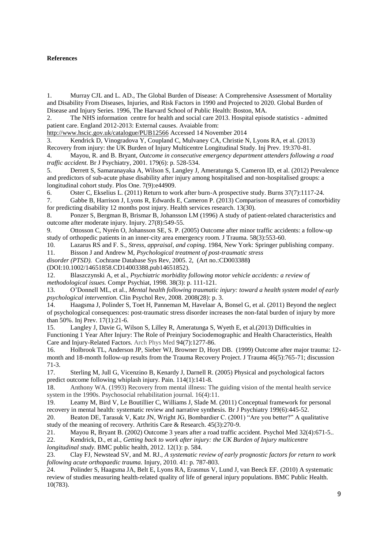# **References**

1. Murray CJL and L. AD., The Global Burden of Disease: A Comprehensive Assessment of Mortality and Disability From Diseases, Injuries, and Risk Factors in 1990 and Projected to 2020. Global Burden of Disease and Injury Series. 1996, The Harvard School of Public Health: Boston, MA.

2. The NHS information centre for health and social care 2013. Hospital episode statistics - admitted patient care. England 2012-2013: External causes. Avaiable from:

<http://www.hscic.gov.uk/catalogue/PUB12566> Accessed 14 November 2014

3. Kendrick D, Vinogradova Y, Coupland C, Mulvaney CA, Christie N, Lyons RA, et al. (2013) Recovery from injury: the UK Burden of Injury Multicentre Longitudinal Study. Inj Prev. 19:370-81.

4. Mayou, R. and B. Bryant, *Outcome in consecutive emergency department attenders following a road traffic accident.* Br J Psychiatry, 2001. 179(6): p. 528-534.

5. Derrett S, Samaranayaka A, Wilson S, Langley J, Ameratunga S, Cameron ID, et al. (2012) Prevalence and predictors of sub-acute phase disability after injury among hospitalised and non-hospitalised groups: a longitudinal cohort study. Plos One. 7(9):e44909.

6. Oster C, Ekselius L. (2011) Return to work after burn-A prospective study. Burns 37(7):1117-24.

7. Gabbe B, Harrison J, Lyons R, Edwards E, Cameron P. (2013) Comparison of measures of comorbidity for predicting disability 12 months post injury. Health services research. 13(30).

8. Ponzer S, Bergman B, Brismar B, Johansson LM (1996) A study of patient-related characteristics and outcome after moderate injury. Injury. 27(8):549-55.

9. Ottosson C, Nyrén O, Johansson SE, S. P. (2005) Outcome after minor traffic accidents: a follow-up study of orthopedic patients in an inner-city area emergency room. J Trauma. 58(3):553-60.

10. Lazarus RS and F. S., *Stress, appraisal, and coping*. 1984, New York: Springer publishing company. 11. Bisson J and Andrew M, *Psychological treatment of post-traumatic stress*

*disorder (PTSD).* Cochrane Database Sys Rev, 2005. 2, (Art no.:CD003388**)** (DOI:10.1002/14651858.CD14003388.pub14651852).

12. Blaszczynski A, et al., *Psychiatric morbidity following motor vehicle accidents: a review of methodological issues.* Compr Psychiat, 1998. 38(3): p. 111-121.

13. O'Donnell ML, et al., *Mental health following traumatic injury: toward a health system model of early psychological intervention.* Clin Psychol Rev, 2008. 2008(28): p. 3.

14. Haagsma J, Polinder S, Toet H, Panneman M, Havelaar A, Bonsel G, et al. (2011) Beyond the neglect of psychological consequences: post-traumatic stress disorder increases the non-fatal burden of injury by more than 50%. Inj Prev. 17(1):21-6.

15. Langley J, Davie G, Wilson S, Lilley R, Ameratunga S, Wyeth E, et al.(2013) Difficulties in Functioning 1 Year After Injury: The Role of Preinjury Sociodemographic and Health Characteristics, Health Care and Injury-Related Factors. Arch Phys Med 94(7):1277-86.

16. Holbrook TL, Anderson JP, Sieber WJ, Browner D, Hoyt DB. (1999) Outcome after major trauma: 12 month and 18-month follow-up results from the Trauma Recovery Project. J Trauma 46(5):765-71; discussion 71-3.

17. Sterling M, Jull G, Vicenzino B, Kenardy J, Darnell R. (2005) Physical and psychological factors predict outcome following whiplash injury. Pain. 114(1):141-8.

18. Anthony WA. (1993) Recovery from mental illness: The guiding vision of the mental health service system in the 1990s. Psychosocial rehabilitation journal. 16(4):11.

19. Leamy M, Bird V, Le Boutillier C, Williams J, Slade M. (2011) Conceptual framework for personal recovery in mental health: systematic review and narrative synthesis. Br J Psychiatry 199(6):445-52.

20. Beaton DE, Tarasuk V, Katz JN, Wright JG, Bombardier C. (2001) "Are you better?" A qualitative study of the meaning of recovery. Arthritis Care & Research. 45(3):270-9.

21. Mayou R, Bryant B. (2002) Outcome 3 years after a road traffic accident. Psychol Med 32(4):671-5..

22. Kendrick, D., et al., *Getting back to work after injury: the UK Burden of Injury multicentre longitudinal study.* BMC public health, 2012. 12(1): p. 584.

23. Clay FJ, Newstead SV, and M. RJ., *A systematic review of early prognostic factors for return to work following acute orthopaedic trauma.* Injury, 2010. 41: p. 787-803.

24. Polinder S, Haagsma JA, Belt E, Lyons RA, Erasmus V, Lund J, van Beeck EF. (2010) A systematic review of studies measuring health-related quality of life of general injury populations. BMC Public Health. 10(783).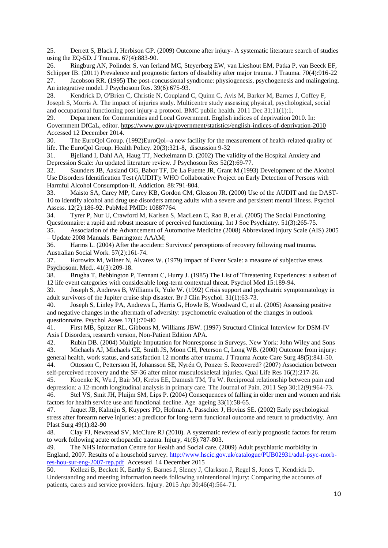25. Derrett S, Black J, Herbison GP. (2009) Outcome after injury- A systematic literature search of studies using the EQ-5D. J Trauma. 67(4):883-90.

26. Ringburg AN, Polinder S, van Ierland MC, Steyerberg EW, van Lieshout EM, Patka P, van Beeck EF, Schipper IB. (2011) Prevalence and prognostic factors of disability after major trauma. J Trauma. 70(4):916-22 27. Jacobson RR. (1995) The post-concussional syndrome: physiogenesis, psychogenesis and malingering. An integrative model. J Psychosom Res. 39(6):675-93.

28. Kendrick D, O'Brien C, Christie N, Coupland C, Quinn C, Avis M, Barker M, Barnes J, Coffey F, Joseph S, Morris A. The impact of injuries study. Multicentre study assessing physical, psychological, social and occupational functioning post injury-a protocol. BMC public health. 2011 Dec 31;11(1):1.

29. Department for Communities and Local Government. English indices of deprivation 2010. In: Government DfCaL, editor.<https://www.gov.uk/government/statistics/english-indices-of-deprivation-2010> Accessed 12 December 2014.

30. The EuroQol Group. (1992)EuroQol--a new facility for the measurement of health-related quality of life. The EuroQol Group. Health Policy. 20(3):321-8, discussion 9-32

31. Bjelland I, Dahl AA, Haug TT, Neckelmann D. (2002) The validity of the Hospital Anxiety and Depression Scale: An updated literature review. J Psychosom Res 52(2):69-77.

32. Saunders JB, Aasland OG, Babor TF, De La Fuente JR, Grant M.(1993) Development of the Alcohol Use Disorders Identification Test (AUDIT): WHO Collaborative Project on Early Detection of Persons with Harmful Alcohol Consumption-II. Addiction. 88:791-804.

33. Maisto SA, Carey MP, Carey KB, Gordon CM, Gleason JR. (2000) Use of the AUDIT and the DAST-10 to identify alcohol and drug use disorders among adults with a severe and persistent mental illness. Psychol Assess. 12(2):186-92. PubMed PMID: 10887764.

34. Tyrer P, Nur U, Crawford M, Karlsen S, MacLean C, Rao B, et al. (2005) The Social Functioning Questionnaire: a rapid and robust measure of perceived functioning. Int J Soc Psychiatry. 51(3):265-75.

35. Association of the Advancement of Automotive Medicine (2008) Abbreviated Injury Scale (AIS) 2005 – Update 2008 Manuals. Barrington: AAAM;

36. Harms L. (2004) After the accident: Survivors' perceptions of recovery following road trauma. Australian Social Work. 57(2):161-74.

37. Horowitz M, Wilner N, Alvarez W. (1979) Impact of Event Scale: a measure of subjective stress. Psychosom. Med.. 41(3):209-18.

38. Brugha T, Bebbington P, Tennant C, Hurry J. (1985) The List of Threatening Experiences: a subset of 12 life event categories with considerable long-term contextual threat. Psychol Med 15:189-94.

39. Joseph S, Andrews B, Williams R, Yule W. (1992) Crisis support and psychiatric symptomatology in adult survivors of the Jupiter cruise ship disaster. Br J Clin Psychol. 31(1):63-73.

40. Joseph S, Linley PA, Andrews L, Harris G, Howle B, Woodward C, et al. (2005) Assessing positive and negative changes in the aftermath of adversity: psychometric evaluation of the changes in outlook questionnaire. Psychol Asses 17(1):70-80

41. First MB, Spitzer RL, Gibbons M, Williams JBW. (1997) Structurd Clinical Interview for DSM-IV Axis I Disorders, research version, Non-Patient Edition APA.

42. Rubin DB. (2004) Multiple Imputation for Nonresponse in Surveys. New York: John Wiley and Sons 43. Michaels AJ, Michaels CE, Smith JS, Moon CH, Peterson C, Long WB. (2000) Outcome from injury: general health, work status, and satisfaction 12 months after trauma. J Trauma Acute Care Surg 48(5):841-50.

44. Ottosson C, Pettersson H, Johansson SE, Nyrén O, Ponzer S. Recovered? (2007) Association between self-perceived recovery and the SF-36 after minor musculoskeletal injuries. Qual Life Res 16(2):217-26.

45. Kroenke K, Wu J, Bair MJ, Krebs EE, Damush TM, Tu W. Reciprocal relationship between pain and depression: a 12-month longitudinal analysis in primary care. The Journal of Pain. 2011 Sep 30;12(9):964-73. 46. Stel VS, Smit JH, Pluijm SM, Lips P. (2004) Consequences of falling in older men and women and risk factors for health service use and functional decline. Age ageing 33(1):58-65.

47. Jaquet JB, Kalmijn S, Kuypers PD, Hofman A, Passchier J, Hovius SE. (2002) Early psychological stress after forearm nerve injuries: a predictor for long-term functional outcome and return to productivity. Ann Plast Surg 49(1):82-90

48. Clay FJ, Newstead SV, McClure RJ (2010). A systematic review of early prognostic factors for return to work following acute orthopaedic trauma. Injury, 41(8):787-803.

49. The NHS information Centre for Health and Social care. (2009) Adult psychiatric morbidity in England, 2007. Results of a household survey. [http://www.hscic.gov.uk/catalogue/PUB02931/adul-psyc-morb](http://www.hscic.gov.uk/catalogue/PUB02931/adul-psyc-morb-res-hou-sur-eng-2007-rep.pdf)[res-hou-sur-eng-2007-rep.pdf](http://www.hscic.gov.uk/catalogue/PUB02931/adul-psyc-morb-res-hou-sur-eng-2007-rep.pdf) Accessed 14 December 2015

50. Kellezi B, Beckett K, Earthy S, Barnes J, Sleney J, Clarkson J, Regel S, Jones T, Kendrick D. Understanding and meeting information needs following unintentional injury: Comparing the accounts of patients, carers and service providers. Injury. 2015 Apr 30;46(4):564-71.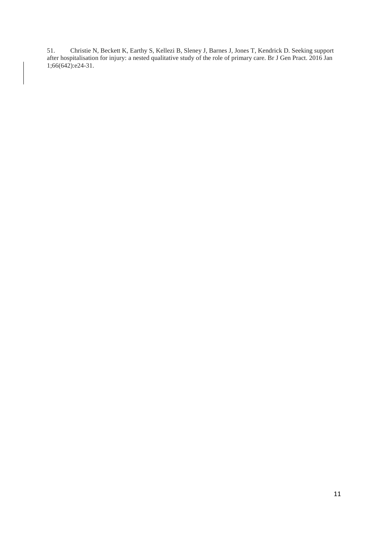51. Christie N, Beckett K, Earthy S, Kellezi B, Sleney J, Barnes J, Jones T, Kendrick D. Seeking support after hospitalisation for injury: a nested qualitative study of the role of primary care. Br J Gen Pract. 2016 Jan 1;66(642):e24-31.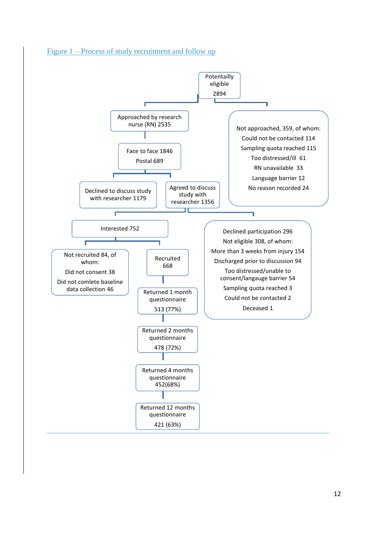

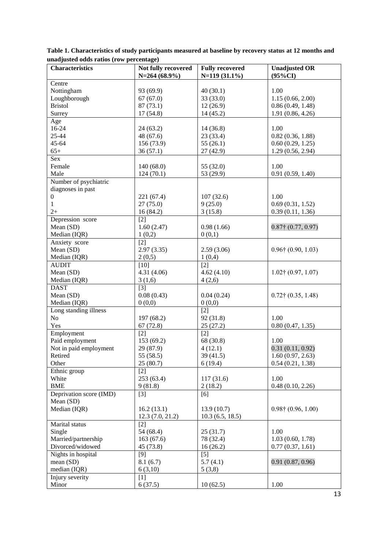| <b>Characteristics</b>  | Not fully recovered<br>$N=264(68.9\%)$ | <b>Fully recovered</b><br>$N=119(31.1\%)$ | <b>Unadjusted OR</b><br>$(95\%CI)$ |
|-------------------------|----------------------------------------|-------------------------------------------|------------------------------------|
| Centre                  |                                        |                                           |                                    |
| Nottingham              | 93 (69.9)                              | 40(30.1)                                  | 1.00                               |
| Loughborough            | 67(67.0)                               | 33 (33.0)                                 | 1.15(0.66, 2.00)                   |
| <b>Bristol</b>          | 87(73.1)                               | 12(26.9)                                  | 0.86(0.49, 1.48)                   |
| Surrey                  | 17(54.8)                               | 14(45.2)                                  | 1.91(0.86, 4.26)                   |
| Age                     |                                        |                                           |                                    |
| 16-24                   | 24(63.2)                               | 14(36.8)                                  | 1.00                               |
| 25-44                   | 48 (67.6)                              | 23 (33.4)                                 | 0.82(0.36, 1.88)                   |
| 45-64                   | 156 (73.9)                             | 55(26.1)                                  | 0.60(0.29, 1.25)                   |
| $65+$                   | 36(57.1)                               | 27 (42.9)                                 | 1.29(0.56, 2.94)                   |
| Sex                     |                                        |                                           |                                    |
| Female                  | 140 (68.0)                             | 55 (32.0)                                 | 1.00                               |
| Male                    | 124 (70.1)                             | 53 (29.9)                                 | 0.91(0.59, 1.40)                   |
| Number of psychiatric   |                                        |                                           |                                    |
| diagnoses in past       |                                        |                                           |                                    |
| $\boldsymbol{0}$        | 221 (67.4)                             | 107(32.6)                                 | 1.00                               |
| $\mathbf{1}$            | 27(75.0)                               | 9(25.0)                                   | 0.69(0.31, 1.52)                   |
| $2+$                    | 16 (84.2)                              | 3(15.8)                                   | 0.39(0.11, 1.36)                   |
| Depression score        | $[2]$                                  |                                           |                                    |
| Mean (SD)               | 1.60(2.47)                             | 0.98(1.66)                                | $0.87$ † $(0.77, 0.97)$            |
| Median (IQR)            | 1(0,2)                                 | 0(0,1)                                    |                                    |
| Anxiety score           | $[2]$                                  |                                           |                                    |
| Mean (SD)               | 2.97(3.35)                             | 2.59(3.06)                                | $0.96$ † $(0.90, 1.03)$            |
| Median (IQR)            | 2(0,5)                                 | 1(0,4)                                    |                                    |
| <b>AUDIT</b>            | $[10]$                                 | $[2]$                                     |                                    |
| Mean (SD)               | 4.31 (4.06)                            | 4.62(4.10)                                | $1.02$ † $(0.97, 1.07)$            |
| Median (IQR)            | 3(1,6)                                 | 4(2,6)                                    |                                    |
| <b>DAST</b>             | $[3]$                                  |                                           |                                    |
| Mean (SD)               | 0.08(0.43)                             | 0.04(0.24)                                | $0.72\uparrow$ (0.35, 1.48)        |
| Median (IQR)            | 0(0,0)                                 | 0(0,0)                                    |                                    |
| Long standing illness   |                                        | $[2]$                                     |                                    |
| N <sub>o</sub>          | 197 (68.2)                             | 92 (31.8)                                 | 1.00                               |
| Yes                     | 67(72.8)                               | 25(27.2)                                  | 0.80(0.47, 1.35)                   |
| Employment              | $[2]$                                  | $[2]$                                     |                                    |
| Paid employment         | 153 (69.2)                             | 68 (30.8)                                 | 1.00                               |
| Not in paid employment  | 29 (87.9)                              | 4(12.1)                                   | 0.31(0.11, 0.92)                   |
| Retired                 | 55 (58.5)                              | 39 (41.5)                                 | 1.60(0.97, 2.63)                   |
| Other                   | 25(80.7)                               | 6(19.4)                                   | 0.54(0.21, 1.38)                   |
| Ethnic group            | $[2]$                                  |                                           |                                    |
| White                   | 253 (63.4)                             | 117(31.6)                                 | 1.00                               |
| <b>BME</b>              | 9(81.8)                                | 2(18.2)                                   | 0.48(0.10, 2.26)                   |
| Deprivation score (IMD) | $[3]$                                  | [6]                                       |                                    |
| Mean (SD)               |                                        |                                           |                                    |
| Median (IQR)            | 16.2(13.1)                             | 13.9(10.7)                                | $0.98\dagger(0.96, 1.00)$          |
|                         | 12.3(7.0, 21.2)                        | 10.3(6.5, 18.5)                           |                                    |
| Marital status          | $[2]$                                  |                                           |                                    |
| Single                  | 54 (68.4)                              | 25(31.7)                                  | 1.00                               |
| Married/partnership     | 163 (67.6)                             | 78 (32.4)                                 | 1.03(0.60, 1.78)                   |
| Divorced/widowed        | 45 (73.8)                              | 16(26.2)                                  | 0.77(0.37, 1.61)                   |
| Nights in hospital      | $[9]$                                  | $[5]$                                     |                                    |
| mean (SD)               | 8.1(6.7)                               | 5.7(4.1)                                  | 0.91(0.87, 0.96)                   |
| median (IQR)            | 6(3,10)                                | 5(3,8)                                    |                                    |
| Injury severity         | $[1]$                                  |                                           |                                    |
| Minor                   | 6(37.5)                                | 10(62.5)                                  | 1.00                               |

**Table 1. Characteristics of study participants measured at baseline by recovery status at 12 months and unadjusted odds ratios (row percentage)**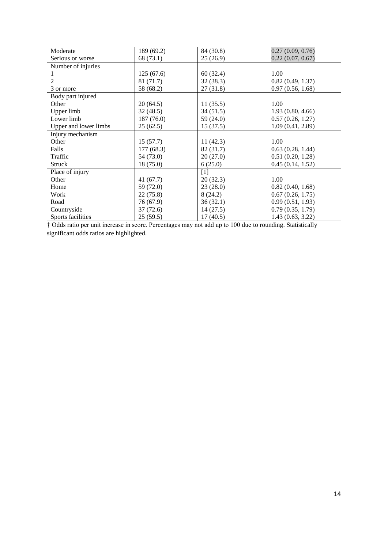| Moderate              | 189 (69.2) | 84 (30.8) | 0.27(0.09, 0.76) |
|-----------------------|------------|-----------|------------------|
| Serious or worse      | 68 (73.1)  | 25(26.9)  | 0.22(0.07, 0.67) |
| Number of injuries    |            |           |                  |
|                       | 125(67.6)  | 60(32.4)  | 1.00             |
| 2                     | 81 (71.7)  | 32(38.3)  | 0.82(0.49, 1.37) |
| 3 or more             | 58 (68.2)  | 27(31.8)  | 0.97(0.56, 1.68) |
| Body part injured     |            |           |                  |
| Other                 | 20(64.5)   | 11(35.5)  | 1.00             |
| Upper limb            | 32(48.5)   | 34(51.5)  | 1.93(0.80, 4.66) |
| Lower limb            | 187 (76.0) | 59 (24.0) | 0.57(0.26, 1.27) |
| Upper and lower limbs | 25(62.5)   | 15(37.5)  | 1.09(0.41, 2.89) |
| Injury mechanism      |            |           |                  |
| Other                 | 15(57.7)   | 11(42.3)  | 1.00             |
| Falls                 | 177(68.3)  | 82 (31.7) | 0.63(0.28, 1.44) |
| Traffic               | 54 (73.0)  | 20(27.0)  | 0.51(0.20, 1.28) |
| Struck                | 18 (75.0)  | 6(25.0)   | 0.45(0.14, 1.52) |
| Place of injury       |            | [1]       |                  |
| Other                 | 41(67.7)   | 20(32.3)  | 1.00             |
| Home                  | 59 (72.0)  | 23(28.0)  | 0.82(0.40, 1.68) |
| Work                  | 22(75.8)   | 8(24.2)   | 0.67(0.26, 1.75) |
| Road                  | 76 (67.9)  | 36(32.1)  | 0.99(0.51, 1.93) |
| Countryside           | 37(72.6)   | 14(27.5)  | 0.79(0.35, 1.79) |
| Sports facilities     | 25(59.5)   | 17(40.5)  | 1.43(0.63, 3.22) |

† Odds ratio per unit increase in score. Percentages may not add up to 100 due to rounding. Statistically significant odds ratios are highlighted.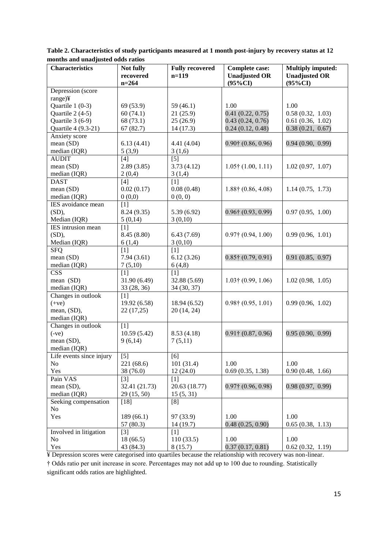| <b>Characteristics</b>   | Not fully            | <b>Fully recovered</b> | <b>Complete case:</b>              | <b>Multiply imputed:</b>           |
|--------------------------|----------------------|------------------------|------------------------------------|------------------------------------|
|                          | recovered<br>$n=264$ | $n=119$                | <b>Unadjusted OR</b><br>$(95\%CI)$ | <b>Unadjusted OR</b><br>$(95\%CI)$ |
| Depression (score        |                      |                        |                                    |                                    |
| range)¥                  |                      |                        |                                    |                                    |
| Quartile $1(0-3)$        | 69 (53.9)            | 59 (46.1)              | 1.00                               | 1.00                               |
| Quartile 2 (4-5)         | 60(74.1)             | 21(25.9)               | 0.41(0.22, 0.75)                   | 0.58(0.32, 1.03)                   |
| Quartile 3 (6-9)         | 68 (73.1)            | 25(26.9)               | 0.43(0.24, 0.76)                   | 0.61(0.36, 1.02)                   |
| Quartile 4 (9.3-21)      | 67(82.7)             | 14(17.3)               | 0.24(0.12, 0.48)                   | 0.38(0.21, 0.67)                   |
| Anxiety score            |                      |                        |                                    |                                    |
| mean (SD)                | 6.13(4.41)           | 4.41 (4.04)            | $0.90$ † $(0.86, 0.96)$            | 0.94(0.90, 0.99)                   |
| median (IQR)             | 5(3,9)               | 3(1,6)                 |                                    |                                    |
| <b>AUDIT</b>             | [4]                  | $[5]$                  |                                    |                                    |
| mean (SD)                | 2.89(3.85)           | 3.73(4.12)             | $1.05$ † $(1.00, 1.11)$            | 1.02(0.97, 1.07)                   |
| median (IQR)             | 2(0,4)               | 3(1,4)                 |                                    |                                    |
| <b>DAST</b>              | [4]                  | [1]                    |                                    |                                    |
| mean(SD)                 | 0.02(0.17)           | 0.08(0.48)             | $1.88\dagger(0.86, 4.08)$          | 1.14(0.75, 1.73)                   |
| median (IQR)             | 0(0,0)               | 0(0, 0)                |                                    |                                    |
| IES avoidance mean       | [1]                  |                        |                                    |                                    |
| (SD),                    | 8.24 (9.35)          | 5.39(6.92)             | $0.96$ † $(0.93, 0.99)$            | 0.97(0.95, 1.00)                   |
| Median (IQR)             | 5(0,14)              | 3(0,10)                |                                    |                                    |
| IES intrusion mean       | [1]                  |                        |                                    |                                    |
| (SD),                    | 8.45 (8.80)          | 6.43(7.69)             | $0.97\uparrow$ (0.94, 1.00)        | 0.99(0.96, 1.01)                   |
| Median (IQR)             | 6(1,4)               | 3(0,10)                |                                    |                                    |
| <b>SFQ</b>               | [1]                  | [1]                    |                                    |                                    |
| mean (SD)                | 7.94(3.61)           | 6.12(3.26)             | $0.85\dagger(0.79, 0.91)$          | 0.91(0.85, 0.97)                   |
| median (IQR)             | 7(5,10)              | 6(4,8)                 |                                    |                                    |
| <b>CSS</b>               | $[1]$                | $[1]$                  |                                    |                                    |
| mean (SD)                | 31.90 (6.49)         | 32.88 (5.69)           | $1.03$ † $(0.99, 1.06)$            | 1.02(0.98, 1.05)                   |
| median (IQR)             | 33 (28, 36)          | 34 (30, 37)            |                                    |                                    |
| Changes in outlook       | $[1]$                |                        |                                    |                                    |
| $(+ve)$                  | 19.92 (6.58)         | 18.94 (6.52)           | $0.98\dagger(0.95, 1.01)$          | 0.99(0.96, 1.02)                   |
| mean, (SD),              | 22(17,25)            | 20 (14, 24)            |                                    |                                    |
| median (IQR)             |                      |                        |                                    |                                    |
| Changes in outlook       | [1]                  |                        |                                    |                                    |
| $(-ve)$                  | 10.59(5.42)          | 8.53(4.18)             | $0.91\dagger(0.87, 0.96)$          | 0.95(0.90, 0.99)                   |
| mean (SD),               | 9(6,14)              | 7(5,11)                |                                    |                                    |
| median (IQR)             |                      |                        |                                    |                                    |
| Life events since injury | [5]                  | [6]                    |                                    |                                    |
| No                       | 221 (68.6)           | 101(31.4)              | 1.00                               | 1.00                               |
| Yes                      | 38 (76.0)            | 12(24.0)               | 0.69(0.35, 1.38)                   | 0.90(0.48, 1.66)                   |
| Pain VAS                 | $[3]$                | $[1]$                  |                                    |                                    |
| mean (SD),               | 32.41 (21.73)        | 20.63 (18.77)          | $0.97$ † $(0.96, 0.98)$            | 0.98(0.97, 0.99)                   |
| median (IQR)             | 29 (15, 50)          | 15(5, 31)              |                                    |                                    |
| Seeking compensation     | $[18]$               | [8]                    |                                    |                                    |
| N <sub>o</sub>           |                      |                        |                                    |                                    |
| Yes                      | 189(66.1)            | 97 (33.9)              | 1.00                               | 1.00                               |
|                          | 57 (80.3)            | 14(19.7)               | 0.48(0.25, 0.90)                   | 0.65(0.38, 1.13)                   |
| Involved in litigation   | $[3]$                | $[1]$                  |                                    |                                    |
| No                       | 18(66.5)             | 110(33.5)              | 1.00                               | 1.00                               |
| Yes                      | 43 (84.3)            | 8(15.7)                | 0.37(0.17, 0.81)                   | 0.62(0.32, 1.19)                   |

**Table 2. Characteristics of study participants measured at 1 month post-injury by recovery status at 12 months and unadjusted odds ratios** 

¥ Depression scores were categorised into quartiles because the relationship with recovery was non-linear. † Odds ratio per unit increase in score. Percentages may not add up to 100 due to rounding. Statistically significant odds ratios are highlighted.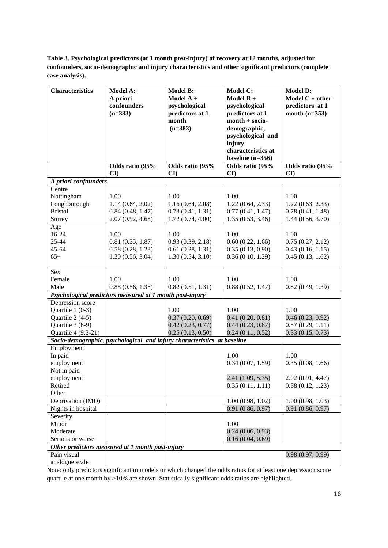**Table 3. Psychological predictors (at 1 month post-injury) of recovery at 12 months, adjusted for confounders, socio-demographic and injury characteristics and other significant predictors (complete case analysis).**

| <b>Characteristics</b> | Model A:                                                 | Model B:                                                                | Model C:           | <b>Model D:</b>                      |
|------------------------|----------------------------------------------------------|-------------------------------------------------------------------------|--------------------|--------------------------------------|
|                        | A priori                                                 | Model A +                                                               | Model B +          | Model $C + other$                    |
|                        | confounders                                              | psychological                                                           | psychological      | predictors at 1                      |
|                        | $(n=383)$                                                | predictors at 1                                                         | predictors at 1    | month $(n=353)$                      |
|                        |                                                          | month                                                                   | $month + socio-$   |                                      |
|                        |                                                          | $(n=383)$                                                               | demographic,       |                                      |
|                        |                                                          |                                                                         | psychological and  |                                      |
|                        |                                                          |                                                                         | injury             |                                      |
|                        |                                                          |                                                                         | characteristics at |                                      |
|                        |                                                          |                                                                         | baseline $(n=356)$ |                                      |
|                        | Odds ratio (95%                                          | Odds ratio (95%                                                         | Odds ratio (95%    | Odds ratio (95%                      |
|                        | $\mathbf{C}\mathbf{I}$                                   | $\mathbf{C}\mathbf{I}$                                                  | CI                 | $\mathbf{C}\mathbf{I}$               |
| A priori confounders   |                                                          |                                                                         |                    |                                      |
| Centre                 |                                                          |                                                                         |                    |                                      |
| Nottingham             | 1.00                                                     | 1.00                                                                    | 1.00               | 1.00                                 |
| Loughborough           | 1.14(0.64, 2.02)                                         | 1.16(0.64, 2.08)                                                        | 1.22(0.64, 2.33)   | 1.22(0.63, 2.33)                     |
| <b>Bristol</b>         | 0.84(0.48, 1.47)                                         | 0.73(0.41, 1.31)                                                        | 0.77(0.41, 1.47)   | 0.78(0.41, 1.48)                     |
| Surrey                 | 2.07(0.92, 4.65)                                         | 1.72(0.74, 4.00)                                                        | 1.35(0.53, 3.46)   | 1.44(0.56, 3.70)                     |
| Age                    |                                                          |                                                                         |                    |                                      |
| 16-24                  | 1.00                                                     | 1.00                                                                    | 1.00               | 1.00                                 |
| 25-44                  | 0.81(0.35, 1.87)                                         | 0.93(0.39, 2.18)                                                        | 0.60(0.22, 1.66)   | 0.75(0.27, 2.12)                     |
| $45 - 64$              | 0.58(0.28, 1.23)                                         | 0.61(0.28, 1.31)                                                        | 0.35(0.13, 0.90)   | 0.43(0.16, 1.15)<br>0.45(0.13, 1.62) |
| $65+$                  | 1.30(0.56, 3.04)                                         | 1.30(0.54, 3.10)                                                        | 0.36(0.10, 1.29)   |                                      |
| Sex                    |                                                          |                                                                         |                    |                                      |
| Female                 | 1.00                                                     | 1.00                                                                    | 1.00               | 1.00                                 |
| Male                   | 0.88(0.56, 1.38)                                         | 0.82(0.51, 1.31)                                                        | 0.88(0.52, 1.47)   | 0.82(0.49, 1.39)                     |
|                        | Psychological predictors measured at 1 month post-injury |                                                                         |                    |                                      |
| Depression score       |                                                          |                                                                         |                    |                                      |
| Quartile $1(0-3)$      |                                                          | 1.00                                                                    | 1.00               | 1.00                                 |
| Quartile 2 (4-5)       |                                                          | 0.37(0.20, 0.69)                                                        | 0.41(0.20, 0.81)   | 0.46(0.23, 0.92)                     |
| Quartile 3 (6-9)       |                                                          | 0.42(0.23, 0.77)                                                        | 0.44(0.23, 0.87)   | 0.57(0.29, 1.11)                     |
| Quartile 4 (9.3-21)    |                                                          | 0.25(0.13, 0.50)                                                        | 0.24(0.11, 0.52)   | 0.33(0.15, 0.73)                     |
|                        |                                                          | Socio-demographic, psychological and injury characteristics at baseline |                    |                                      |
| Employment             |                                                          |                                                                         |                    |                                      |
| In paid                |                                                          |                                                                         | 1.00               | 1.00                                 |
| employment             |                                                          |                                                                         | 0.34(0.07, 1.59)   | 0.35(0.08, 1.66)                     |
| Not in paid            |                                                          |                                                                         |                    |                                      |
| employment<br>Retired  |                                                          |                                                                         | 2.41(1.09, 5.35)   | 2.02(0.91, 4.47)                     |
| Other                  |                                                          |                                                                         | 0.35(0.11, 1.11)   | 0.38(0.12, 1.23)                     |
| Deprivation (IMD)      |                                                          |                                                                         | 1.00(0.98, 1.02)   | 1.00(0.98, 1.03)                     |
| Nights in hospital     |                                                          |                                                                         | 0.91(0.86, 0.97)   | 0.91(0.86, 0.97)                     |
| Severity               |                                                          |                                                                         |                    |                                      |
| Minor                  |                                                          |                                                                         | 1.00               |                                      |
| Moderate               |                                                          |                                                                         | 0.24(0.06, 0.93)   |                                      |
| Serious or worse       |                                                          |                                                                         | 0.16(0.04, 0.69)   |                                      |
|                        | Other predictors measured at 1 month post-injury         |                                                                         |                    |                                      |
| Pain visual            |                                                          |                                                                         |                    | 0.98(0.97, 0.99)                     |
| analogue scale         |                                                          |                                                                         |                    |                                      |

Note: only predictors significant in models or which changed the odds ratios for at least one depression score quartile at one month by >10% are shown. Statistically significant odds ratios are highlighted.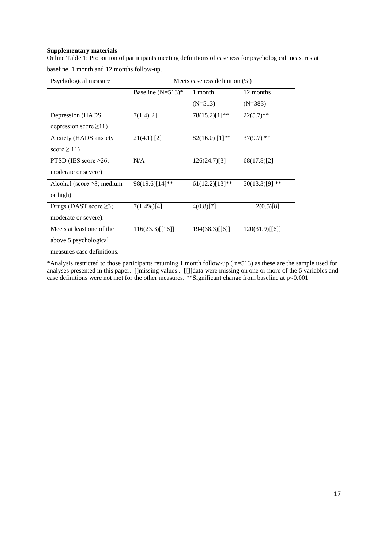# **Supplementary materials**

Online Table 1: Proportion of participants meeting definitions of caseness for psychological measures at baseline, 1 month and 12 months follow-up.

| Psychological measure           | Meets caseness definition (%) |                     |                  |
|---------------------------------|-------------------------------|---------------------|------------------|
|                                 | Baseline $(N=513)*$           | 1 month             | 12 months        |
|                                 |                               | $(N=513)$           | $(N=383)$        |
| Depression (HADS                | 7(1.4)[2]                     | 78(15.2)[1]**       | $22(5.7)$ **     |
| depression score $\geq$ 11)     |                               |                     |                  |
| Anxiety (HADS anxiety           | $21(4.1)$ [2]                 | $82(16.0)$ [1]**    | $37(9.7)$ **     |
| score $\geq$ 11)                |                               |                     |                  |
| PTSD (IES score $\geq 26$ ;     | N/A                           | 126(24.7)[3]        | 68(17.8)[2]      |
| moderate or severe)             |                               |                     |                  |
| Alcohol (score $\geq$ 8; medium | 98(19.6)[14]**                | $61(12.2)[13]^{**}$ | $50(13.3)[9]$ ** |
| or high)                        |                               |                     |                  |
| Drugs (DAST score $\geq$ 3;     | $7(1.4\%)[4]$                 | 4(0.8)[7]           | 2(0.5)[8]        |
| moderate or severe).            |                               |                     |                  |
| Meets at least one of the       | 116(23.3)[[16]]               | 194(38.3)[[6]]      | 120(31.9)[[6]]   |
| above 5 psychological           |                               |                     |                  |
| measures case definitions.      |                               |                     |                  |

\*Analysis restricted to those participants returning 1 month follow-up ( n=513) as these are the sample used for analyses presented in this paper. []missing values . [[]]data were missing on one or more of the 5 variables and case definitions were not met for the other measures. \*\*Significant change from baseline at p<0.001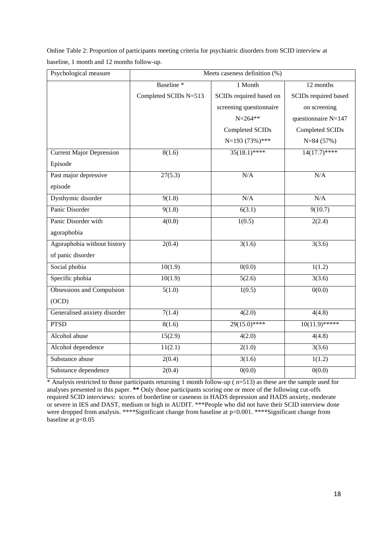Online Table 2: Proportion of participants meeting criteria for psychiatric disorders from SCID interview at baseline, 1 month and 12 months follow-up.

| Psychological measure           | Meets caseness definition (%) |                         |                      |
|---------------------------------|-------------------------------|-------------------------|----------------------|
|                                 | Baseline <sup>*</sup>         | 1 Month                 | 12 months            |
|                                 | Completed SCIDs N=513         | SCIDs required based on | SCIDs required based |
|                                 |                               | screening questionnaire | on screening         |
|                                 |                               | $N = 264$ **            | questionnaire N=147  |
|                                 |                               | Completed SCIDs         | Completed SCIDs      |
|                                 |                               | N=193 (73%)***          | $N=84(57%)$          |
| <b>Current Major Depression</b> | 8(1.6)                        | $35(18.1)$ ****         | $14(17.7)$ ****      |
| Episode                         |                               |                         |                      |
| Past major depressive           | 27(5.3)                       | N/A                     | N/A                  |
| episode                         |                               |                         |                      |
| Dysthymic disorder              | 9(1.8)                        | N/A                     | N/A                  |
| Panic Disorder                  | 9(1.8)                        | 6(3.1)                  | 9(10.7)              |
| Panic Disorder with             | 4(0.8)                        | 1(0.5)                  | 2(2.4)               |
| agoraphobia                     |                               |                         |                      |
| Agoraphobia without history     | 2(0.4)                        | $\overline{3(1.6)}$     | 3(3.6)               |
| of panic disorder               |                               |                         |                      |
| Social phobia                   | 10(1.9)                       | 0(0.0)                  | 1(1.2)               |
| Specific phobia                 | 10(1.9)                       | 5(2.6)                  | 3(3.6)               |
| Obsessions and Compulsion       | 5(1.0)                        | 1(0.5)                  | 0(0.0)               |
| (OCD)                           |                               |                         |                      |
| Generalised anxiety disorder    | 7(1.4)                        | 4(2.0)                  | 4(4.8)               |
| <b>PTSD</b>                     | 8(1.6)                        | $29(15.0)$ ****         | $10(11.9)$ *****     |
| Alcohol abuse                   | 15(2.9)                       | 4(2.0)                  | 4(4.8)               |
| Alcohol dependence              | 11(2.1)                       | 2(1.0)                  | 3(3.6)               |
| Substance abuse                 | 2(0.4)                        | 3(1.6)                  | 1(1.2)               |
| Substance dependence            | 2(0.4)                        | 0(0.0)                  | 0(0.0)               |

\* Analysis restricted to those participants returning 1 month follow-up ( n=513) as these are the sample used for analyses presented in this paper. **\*\*** Only those participants scoring one or more of the following cut-offs required SCID interviews: scores of borderline or caseness in HADS depression and HADS anxiety, moderate or severe in IES and DAST, medium or high in AUDIT. \*\*\*People who did not have their SCID interview done were dropped from analysis. \*\*\*\*Significant change from baseline at p<0.001. \*\*\*\*Significant change from baseline at p<0.05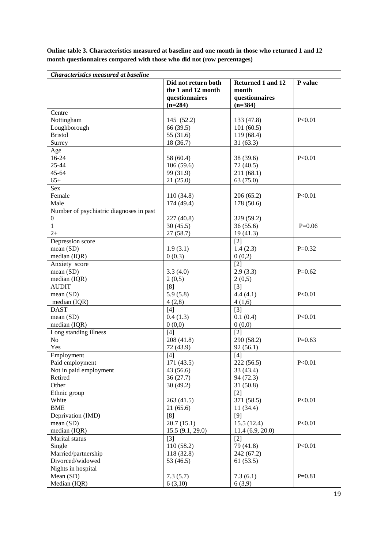| <b>Characteristics measured at baseline</b> |                                                                          |                                                           |            |
|---------------------------------------------|--------------------------------------------------------------------------|-----------------------------------------------------------|------------|
|                                             | Did not return both<br>the 1 and 12 month<br>questionnaires<br>$(n=284)$ | Returned 1 and 12<br>month<br>questionnaires<br>$(n=384)$ | P value    |
| Centre                                      |                                                                          |                                                           |            |
| Nottingham                                  | 145 (52.2)                                                               | 133 (47.8)                                                | P < 0.01   |
| Loughborough                                | 66 (39.5)                                                                | 101(60.5)                                                 |            |
| <b>Bristol</b>                              | 55 (31.6)                                                                | 119(68.4)                                                 |            |
| Surrey                                      | 18 (36.7)                                                                | 31(63.3)                                                  |            |
| Age                                         |                                                                          |                                                           |            |
| 16-24                                       | 58 (60.4)                                                                | 38 (39.6)                                                 | P < 0.01   |
| 25-44                                       | 106(59.6)                                                                | 72(40.5)                                                  |            |
| 45-64                                       | 99 (31.9)                                                                | 211 (68.1)                                                |            |
| $65+$                                       | 21(25.0)                                                                 | 63 (75.0)                                                 |            |
| Sex                                         |                                                                          |                                                           |            |
| Female                                      | 110 (34.8)                                                               | 206(65.2)                                                 | P<0.01     |
| Male                                        | 174 (49.4)                                                               | 178 (50.6)                                                |            |
| Number of psychiatric diagnoses in past     |                                                                          |                                                           |            |
| $\boldsymbol{0}$                            | 227 (40.8)                                                               | 329 (59.2)                                                |            |
| $\mathbf{1}$                                | 30(45.5)                                                                 | 36(55.6)                                                  | $P=0.06$   |
| $2+$                                        | 27(58.7)                                                                 | 19(41.3)                                                  |            |
| Depression score                            |                                                                          | $[2]$                                                     |            |
| mean (SD)                                   | 1.9(3.1)                                                                 | 1.4(2.3)                                                  | $P=0.32$   |
|                                             | 0(0,3)                                                                   | 0(0,2)                                                    |            |
| median (IQR)                                |                                                                          |                                                           |            |
| Anxiety score                               |                                                                          | $[2]$                                                     |            |
| mean(SD)                                    | 3.3(4.0)                                                                 | 2.9(3.3)                                                  | $P=0.62$   |
| median (IQR)                                | 2(0,5)                                                                   | 2(0,5)                                                    |            |
| <b>AUDIT</b>                                | [8]                                                                      | $[3]$                                                     |            |
| mean(SD)                                    | 5.9(5.8)                                                                 | 4.4(4.1)                                                  | P < 0.01   |
| median $(IQR)$                              | 4(2,8)                                                                   | 4(1,6)                                                    |            |
| <b>DAST</b>                                 | [4]                                                                      | $[3]$                                                     |            |
| mean (SD)                                   | 0.4(1.3)                                                                 | 0.1(0.4)                                                  | P < 0.01   |
| median (IQR)                                | 0(0,0)                                                                   | 0(0,0)                                                    |            |
| Long standing illness                       | [4]                                                                      | $\lceil 2 \rceil$                                         |            |
| No                                          | 208 (41.8)                                                               | 290 (58.2)                                                | $P=0.63$   |
| Yes                                         | 72 (43.9)                                                                | 92(56.1)                                                  |            |
| Employment                                  | $[4]$                                                                    | $[4]$                                                     |            |
| Paid employment                             | 171 (43.5)                                                               | 222(56.5)                                                 | P<0.01     |
| Not in paid employment                      | 43(56.6)                                                                 | 33(43.4)                                                  |            |
| Retired                                     | 36(27.7)                                                                 | 94 (72.3)                                                 |            |
| Other                                       | 30(49.2)                                                                 | 31(50.8)                                                  |            |
| Ethnic group                                |                                                                          | $[2]$                                                     |            |
| White                                       | 263 (41.5)                                                               | 371 (58.5)                                                | P<0.01     |
| <b>BME</b>                                  | 21(65.6)                                                                 | 11(34.4)                                                  |            |
| Deprivation (IMD)                           | [8]                                                                      | $[9]$                                                     |            |
| mean(SD)                                    | 20.7(15.1)                                                               | 15.5(12.4)                                                | P<0.01     |
| median (IQR)                                | 15.5(9.1, 29.0)                                                          | 11.4(6.9, 20.0)                                           |            |
| Marital status                              | $[3]$                                                                    | $[2]$                                                     |            |
| Single                                      | 110 (58.2)                                                               | 79 (41.8)                                                 | P<0.01     |
| Married/partnership                         | 118 (32.8)                                                               | 242 (67.2)                                                |            |
| Divorced/widowed                            | 53 (46.5)                                                                | 61(53.5)                                                  |            |
| Nights in hospital                          |                                                                          |                                                           |            |
| Mean (SD)                                   | 7.3(5.7)                                                                 | 7.3(6.1)                                                  | $P = 0.81$ |
| Median (IQR)                                | 6(3,10)                                                                  | 6(3,9)                                                    |            |
|                                             |                                                                          |                                                           |            |

**Online table 3. Characteristics measured at baseline and one month in those who returned 1 and 12 month questionnaires compared with those who did not (row percentages)**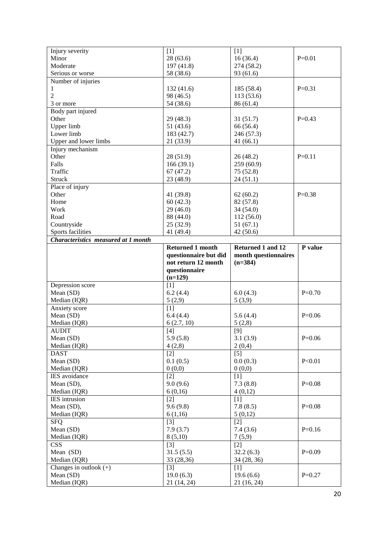| Injury severity                     | [1]                      | $[1]$                    |            |
|-------------------------------------|--------------------------|--------------------------|------------|
| Minor                               | 28(63.6)                 | 16(36.4)                 | $P = 0.01$ |
| Moderate                            | 197 (41.8)               | 274 (58.2)               |            |
| Serious or worse                    | 58 (38.6)                | 93 (61.6)                |            |
| Number of injuries                  |                          |                          |            |
| 1                                   | 132(41.6)                | 185 (58.4)               | $P=0.31$   |
| 2                                   | 98 (46.5)                | 113(53.6)                |            |
| 3 or more                           | 54 (38.6)                | 86 (61.4)                |            |
| Body part injured                   |                          |                          |            |
| Other                               | 29(48.3)                 | 31(51.7)                 | $P=0.43$   |
| Upper limb                          | 51(43.6)                 | 66 (56.4)                |            |
| Lower limb                          | 183 (42.7)               | 246 (57.3)               |            |
| Upper and lower limbs               | 21 (33.9)                | 41(66.1)                 |            |
| Injury mechanism                    |                          |                          |            |
| Other                               | 28(51.9)                 | 26(48.2)                 | $P=0.11$   |
| Falls                               | 166(39.1)                | 259(60.9)                |            |
| Traffic                             | 67(47.2)                 | 75 (52.8)                |            |
| <b>Struck</b>                       | 23 (48.9)                | 24(51.1)                 |            |
| Place of injury                     |                          |                          |            |
| Other                               | 41 (39.8)                | 62(60.2)                 | $P=0.38$   |
| Home                                | 60(42.3)                 | 82 (57.8)                |            |
| Work                                | 29(46.0)                 | 34(54.0)                 |            |
| Road                                | 88 (44.0)                | 112(56.0)                |            |
| Countryside                         | 25 (32.9)                | 51(67.1)                 |            |
| Sports facilities                   | 41 (49.4)                | 42(50.6)                 |            |
| Characteristics measured at 1 month |                          |                          |            |
|                                     | <b>Returned 1 month</b>  | Returned 1 and 12        | P value    |
|                                     | questionnaire but did    | month questionnaires     |            |
|                                     | not return 12 month      | $(n=384)$                |            |
|                                     |                          |                          |            |
|                                     |                          |                          |            |
|                                     | questionnaire            |                          |            |
|                                     | $(n=129)$                |                          |            |
| Depression score                    | [1]                      |                          |            |
| Mean (SD)                           | 6.2(4.4)                 | 6.0(4.3)                 | $P=0.70$   |
| Median (IQR)                        | 5(2,9)                   | 5(3,9)                   |            |
| Anxiety score                       | [1]                      |                          |            |
| Mean (SD)                           | 6.4(4.4)                 | 5.6(4.4)                 | $P=0.06$   |
| Median (IQR)                        | 6(2.7, 10)               | 5(2,8)                   |            |
| <b>AUDIT</b>                        | [4]                      | [9]                      |            |
| Mean (SD)                           | 5.9(5.8)                 | 3.1(3.9)                 | $P=0.06$   |
| Median (IQR)                        | 4(2,8)                   | 2(0,4)                   |            |
| <b>DAST</b>                         | $[2]$                    | $[5]$                    |            |
| Mean (SD)                           | 0.1(0.5)                 | 0.0(0.3)                 | P<0.01     |
| Median (IQR)                        | 0(0,0)                   | 0(0,0)                   |            |
| IES avoidance                       | $[2]$                    | $[1]$                    |            |
| Mean (SD),                          | 9.0(9.6)                 | 7.3(8.8)                 | $P=0.08$   |
| Median (IQR)                        | 6(0,16)                  | 4(0,12)                  |            |
| IES intrusion                       | [2]                      | [1]                      |            |
| Mean (SD),                          | 9.6(9.8)                 | 7.8(8.5)                 | $P=0.08$   |
| Median (IQR)                        | 6(1,16)                  | 5(0,12)                  |            |
| <b>SFQ</b>                          | $[3]$                    | $[2]$                    |            |
| Mean (SD)                           | 7.9(3.7)                 | 7.4(3.6)                 | $P=0.16$   |
| Median (IQR)                        | 8(5,10)                  | 7(5,9)                   |            |
| <b>CSS</b>                          | $[3]$                    | $[2]$                    |            |
| Mean (SD)                           | 31.5(5.5)                | 32.2(6.3)                | $P=0.09$   |
| Median (IQR)                        | 33 (28,36)               | 34 (28, 36)              |            |
| Changes in outlook $(+)$            | $[3]$                    | $[1]$                    |            |
| Mean (SD)<br>Median (IQR)           | 19.0(6.3)<br>21 (14, 24) | 19.6(6.6)<br>21 (16, 24) | $P=0.27$   |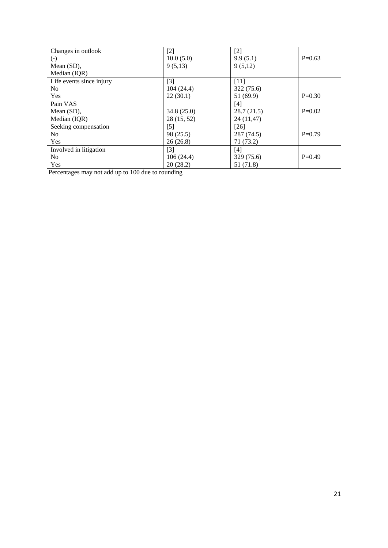| Changes in outlook       | $[2]$       | $[2]$      |          |
|--------------------------|-------------|------------|----------|
| $(\text{-})$             | 10.0(5.0)   | 9.9(5.1)   | $P=0.63$ |
| Mean $(SD)$ ,            | 9(5,13)     | 9(5,12)    |          |
| Median (IQR)             |             |            |          |
| Life events since injury | $[3]$       | $[11]$     |          |
| No                       | 104(24.4)   | 322(75.6)  |          |
| Yes                      | 22(30.1)    | 51 (69.9)  | $P=0.30$ |
| Pain VAS                 |             | [4]        |          |
| Mean $(SD)$ ,            | 34.8(25.0)  | 28.7(21.5) | $P=0.02$ |
| Median (IQR)             | 28 (15, 52) | 24 (11,47) |          |
| Seeking compensation     | $[5]$       | $[26]$     |          |
| N <sub>o</sub>           | 98 (25.5)   | 287 (74.5) | $P=0.79$ |
| Yes                      | 26(26.8)    | 71(73.2)   |          |
| Involved in litigation   | $[3]$       | [4]        |          |
| No                       | 106(24.4)   | 329 (75.6) | $P=0.49$ |
| Yes                      | 20(28.2)    | 51 (71.8)  |          |

Percentages may not add up to 100 due to rounding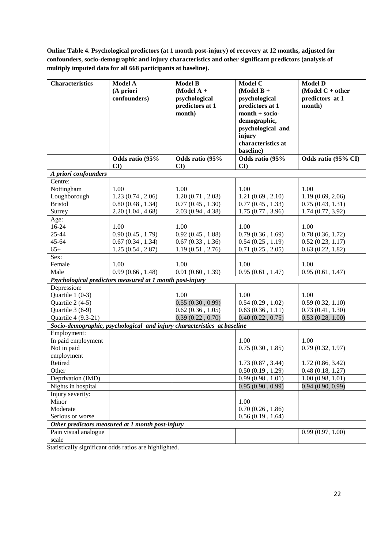**Online Table 4. Psychological predictors (at 1 month post-injury) of recovery at 12 months, adjusted for confounders, socio-demographic and injury characteristics and other significant predictors (analysis of multiply imputed data for all 668 participants at baseline).**

| <b>Characteristics</b> | Model A<br>(A priori<br>confounders)                                    | <b>Model B</b><br>(Model $A +$<br>psychological<br>predictors at 1<br>month) | Model C<br>$(Model B +$<br>psychological<br>predictors at 1<br>$month + socio-$<br>demographic,<br>psychological and<br>injury<br>characteristics at<br>baseline) | <b>Model D</b><br>(Model $C + other$<br>predictors at 1<br>month) |
|------------------------|-------------------------------------------------------------------------|------------------------------------------------------------------------------|-------------------------------------------------------------------------------------------------------------------------------------------------------------------|-------------------------------------------------------------------|
|                        | Odds ratio (95%<br>$\mathbf{C}\mathbf{I}$                               | Odds ratio (95%<br>$\mathbf{C}\mathbf{I}$                                    | Odds ratio (95%<br>CI                                                                                                                                             | Odds ratio (95% CI)                                               |
| A priori confounders   |                                                                         |                                                                              |                                                                                                                                                                   |                                                                   |
| Centre:                |                                                                         |                                                                              |                                                                                                                                                                   |                                                                   |
| Nottingham             | 1.00                                                                    | 1.00                                                                         | 1.00                                                                                                                                                              | 1.00                                                              |
| Loughborough           | 1.23(0.74, 2.06)                                                        | 1.20(0.71, 2.03)                                                             | 1.21(0.69, 2.10)                                                                                                                                                  | 1.19(0.69, 2.06)                                                  |
| <b>Bristol</b>         | 0.80(0.48, 1.34)                                                        | 0.77(0.45, 1.30)                                                             | 0.77(0.45, 1.33)                                                                                                                                                  | 0.75(0.43, 1.31)                                                  |
| Surrey                 | 2.20(1.04, 4.68)                                                        | 2.03(0.94, 4.38)                                                             | 1.75(0.77, 3.96)                                                                                                                                                  | 1.74(0.77, 3.92)                                                  |
| Age:                   |                                                                         |                                                                              |                                                                                                                                                                   |                                                                   |
| 16-24                  | 1.00                                                                    | 1.00                                                                         | 1.00                                                                                                                                                              | 1.00                                                              |
| 25-44                  | 0.90(0.45, 1.79)                                                        | 0.92(0.45, 1.88)                                                             | 0.79(0.36, 1.69)                                                                                                                                                  | 0.78(0.36, 1.72)                                                  |
| $45 - 64$              | 0.67(0.34, 1.34)                                                        | 0.67(0.33, 1.36)                                                             | 0.54(0.25, 1.19)                                                                                                                                                  | 0.52(0.23, 1.17)                                                  |
| $65+$                  | 1.25(0.54, 2.87)                                                        | 1.19(0.51, 2.76)                                                             | 0.71(0.25, 2.05)                                                                                                                                                  | 0.63(0.22, 1.82)                                                  |
| Sex:                   |                                                                         |                                                                              |                                                                                                                                                                   |                                                                   |
| Female                 | 1.00                                                                    | 1.00                                                                         | 1.00                                                                                                                                                              | 1.00                                                              |
| Male                   | 0.99(0.66, 1.48)                                                        | 0.91(0.60, 1.39)                                                             | 0.95(0.61, 1.47)                                                                                                                                                  | 0.95(0.61, 1.47)                                                  |
|                        | Psychological predictors measured at 1 month post-injury                |                                                                              |                                                                                                                                                                   |                                                                   |
| Depression:            |                                                                         |                                                                              |                                                                                                                                                                   |                                                                   |
| Quartile $1(0-3)$      |                                                                         | 1.00                                                                         | 1.00                                                                                                                                                              | 1.00                                                              |
| Quartile 2 (4-5)       |                                                                         | 0.55(0.30, 0.99)                                                             | 0.54(0.29, 1.02)                                                                                                                                                  | 0.59(0.32, 1.10)                                                  |
| Quartile 3 (6-9)       |                                                                         | 0.62(0.36, 1.05)                                                             | 0.63(0.36, 1.11)                                                                                                                                                  | 0.73(0.41, 1.30)                                                  |
| Quartile 4 (9.3-21)    |                                                                         | 0.39(0.22, 0.70)                                                             | 0.40(0.22, 0.75)                                                                                                                                                  | 0.53(0.28, 1.00)                                                  |
|                        | Socio-demographic, psychological and injury characteristics at baseline |                                                                              |                                                                                                                                                                   |                                                                   |
| Employment:            |                                                                         |                                                                              |                                                                                                                                                                   |                                                                   |
| In paid employment     |                                                                         |                                                                              | 1.00                                                                                                                                                              | 1.00                                                              |
| Not in paid            |                                                                         |                                                                              | 0.75(0.30, 1.85)                                                                                                                                                  | 0.79(0.32, 1.97)                                                  |
| employment             |                                                                         |                                                                              |                                                                                                                                                                   |                                                                   |
| Retired                |                                                                         |                                                                              | 1.73(0.87, 3.44)                                                                                                                                                  | 1.72(0.86, 3.42)                                                  |
| Other                  |                                                                         |                                                                              | 0.50(0.19, 1.29)                                                                                                                                                  | 0.48(0.18, 1.27)                                                  |
| Deprivation (IMD)      |                                                                         |                                                                              | 0.99(0.98, 1.01)                                                                                                                                                  | 1.00(0.98, 1.01)                                                  |
| Nights in hospital     |                                                                         |                                                                              | 0.95(0.90, 0.99)                                                                                                                                                  | 0.94(0.90, 0.99)                                                  |
| Injury severity:       |                                                                         |                                                                              |                                                                                                                                                                   |                                                                   |
| Minor                  |                                                                         |                                                                              | 1.00                                                                                                                                                              |                                                                   |
| Moderate               |                                                                         |                                                                              | $0.70\ (0.26\ , 1.86)$                                                                                                                                            |                                                                   |
| Serious or worse       |                                                                         |                                                                              | 0.56(0.19, 1.64)                                                                                                                                                  |                                                                   |
|                        | Other predictors measured at 1 month post-injury                        |                                                                              |                                                                                                                                                                   |                                                                   |
| Pain visual analogue   |                                                                         |                                                                              |                                                                                                                                                                   | 0.99(0.97, 1.00)                                                  |
| scale                  |                                                                         |                                                                              |                                                                                                                                                                   |                                                                   |

Statistically significant odds ratios are highlighted.